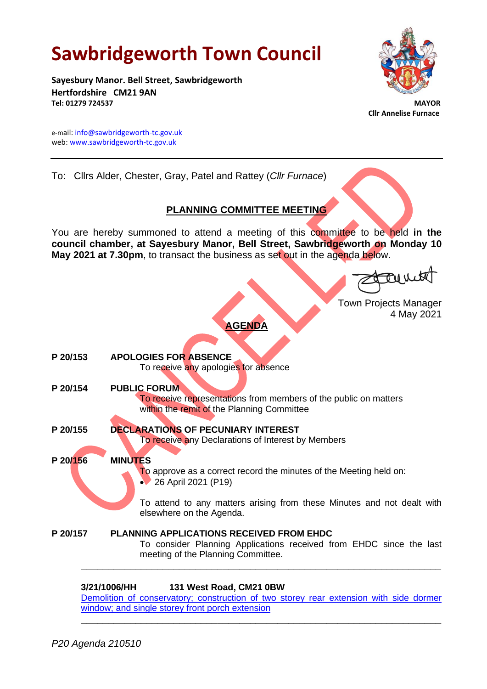# **Sawbridgeworth Town Council**

**Sayesbury Manor. Bell Street, Sawbridgeworth Hertfordshire CM21 9AN Tel: 01279 724537 MAYOR**



 **Cllr Annelise Furnace**

e-mail[: info@sawbridgeworth-tc.gov.uk](mailto:info@sawbridgeworth-tc.gov.uk) web: www.sawbridgeworth-tc.gov.uk

To: Cllrs Alder, Chester, Gray, Patel and Rattey (*Cllr Furnace*)

# **PLANNING COMMITTEE MEETING**

You are hereby summoned to attend a meeting of this committee to be held **in the council chamber, at Sayesbury Manor, Bell Street, Sawbridgeworth on Monday 10 May 2021 at 7.30pm**, to transact the business as set out in the agenda below.

Eurit

Town Projects Manager 4 May 2021

# **AGENDA**

**P 20/153 APOLOGIES FOR ABSENCE** To receive any apologies for absence **P 20/154 PUBLIC FORUM** To receive representations from members of the public on matters within the remit of the Planning Committee **P 20/155 DECLARATIONS OF PECUNIARY INTEREST** To receive any Declarations of Interest by Members **P 20/156 MINUTES** To approve as a correct record the minutes of the Meeting held on: • 26 April 2021 (P19) To attend to any matters arising from these Minutes and not dealt with elsewhere on the Agenda. **P 20/157 PLANNING APPLICATIONS RECEIVED FROM EHDC** To consider Planning Applications received from EHDC since the last meeting of the Planning Committee. **\_\_\_\_\_\_\_\_\_\_\_\_\_\_\_\_\_\_\_\_\_\_\_\_\_\_\_\_\_\_\_\_\_\_\_\_\_\_\_\_\_\_\_\_\_\_\_\_\_\_\_\_\_\_\_\_\_\_\_\_\_\_\_\_\_\_**

# **3/21/1006/HH 131 West Road, CM21 0BW**

Demolition [of conservatory; construction of two storey rear extension with side dormer](https://publicaccess.eastherts.gov.uk/online-applications/applicationDetails.do?activeTab=documents&keyVal=QRQZINGLM4W00)  [window; and single storey front porch extension](https://publicaccess.eastherts.gov.uk/online-applications/applicationDetails.do?activeTab=documents&keyVal=QRQZINGLM4W00)

**\_\_\_\_\_\_\_\_\_\_\_\_\_\_\_\_\_\_\_\_\_\_\_\_\_\_\_\_\_\_\_\_\_\_\_\_\_\_\_\_\_\_\_\_\_\_\_\_\_\_\_\_\_\_\_\_\_\_\_\_\_\_\_\_\_\_**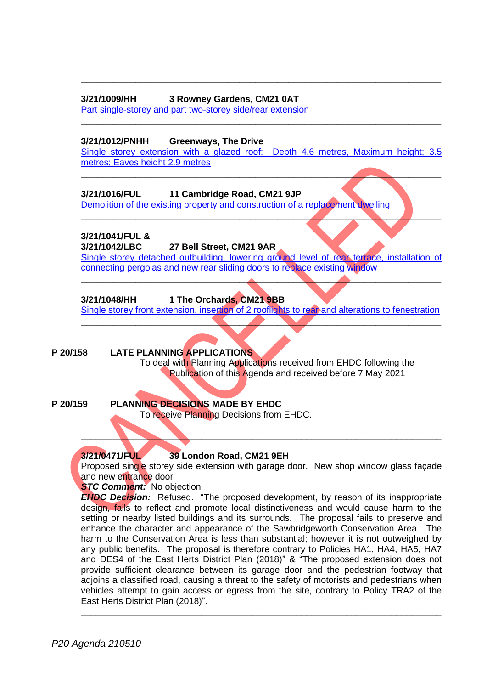# **3/21/1009/HH 3 Rowney Gardens, CM21 0AT**

[Part single-storey and part two-storey side/rear extension](https://publicaccess.eastherts.gov.uk/online-applications/applicationDetails.do?activeTab=documents&keyVal=QRSU7BGLM5500)

### **3/21/1012/PNHH Greenways, The Drive**

[Single storey extension with a glazed roof: Depth 4.6 metres, Maximum height; 3.5](https://publicaccess.eastherts.gov.uk/online-applications/applicationDetails.do?activeTab=documents&keyVal=QRT3V1GL00X00)  [metres; Eaves height 2.9 metres](https://publicaccess.eastherts.gov.uk/online-applications/applicationDetails.do?activeTab=documents&keyVal=QRT3V1GL00X00)

**\_\_\_\_\_\_\_\_\_\_\_\_\_\_\_\_\_\_\_\_\_\_\_\_\_\_\_\_\_\_\_\_\_\_\_\_\_\_\_\_\_\_\_\_\_\_\_\_\_\_\_\_\_\_\_\_\_\_\_\_\_\_\_\_\_\_**

**\_\_\_\_\_\_\_\_\_\_\_\_\_\_\_\_\_\_\_\_\_\_\_\_\_\_\_\_\_\_\_\_\_\_\_\_\_\_\_\_\_\_\_\_\_\_\_\_\_\_\_\_\_\_\_\_\_\_\_\_\_\_\_\_\_\_**

**\_\_\_\_\_\_\_\_\_\_\_\_\_\_\_\_\_\_\_\_\_\_\_\_\_\_\_\_\_\_\_\_\_\_\_\_\_\_\_\_\_\_\_\_\_\_\_\_\_\_\_\_\_\_\_\_\_\_\_\_\_\_\_\_\_\_**

**\_\_\_\_\_\_\_\_\_\_\_\_\_\_\_\_\_\_\_\_\_\_\_\_\_\_\_\_\_\_\_\_\_\_\_\_\_\_\_\_\_\_\_\_\_\_\_\_\_\_\_\_\_\_\_\_\_\_\_\_\_\_\_\_\_\_**

# **3/21/1016/FUL 11 Cambridge Road, CM21 9JP**

[Demolition of the existing property and construction of a replacement](https://publicaccess.eastherts.gov.uk/online-applications/applicationDetails.do?activeTab=documents&keyVal=QRT5BYGLM5F00) dwelling

# **3/21/1041/FUL &**

# **3/21/1042/LBC 27 Bell Street, CM21 9AR**

[Single storey detached outbuilding, lowering ground level of rear terrace, installation of](https://publicaccess.eastherts.gov.uk/online-applications/applicationDetails.do?activeTab=documents&keyVal=QRWUN9GLM7S00)  [connecting pergolas and new rear sliding doors to replace existing window](https://publicaccess.eastherts.gov.uk/online-applications/applicationDetails.do?activeTab=documents&keyVal=QRWUN9GLM7S00)

**\_\_\_\_\_\_\_\_\_\_\_\_\_\_\_\_\_\_\_\_\_\_\_\_\_\_\_\_\_\_\_\_\_\_\_\_\_\_\_\_\_\_\_\_\_\_\_\_\_\_\_\_\_\_\_\_\_\_\_\_\_\_\_\_\_\_**

# **3/21/1048/HH 1 The Orchards, CM21 9BB**

Single storey front extension, insertion of 2 [rooflights to rear and alterations to fenestration](https://publicaccess.eastherts.gov.uk/online-applications/applicationDetails.do?activeTab=documents&keyVal=QRX5TQGLM8B00) **\_\_\_\_\_\_\_\_\_\_\_\_\_\_\_\_\_\_\_\_\_\_\_\_\_\_\_\_\_\_\_\_\_\_\_\_\_\_\_\_\_\_\_\_\_\_\_\_\_\_\_\_\_\_\_\_\_\_\_\_\_\_\_\_\_\_**

# **P 20/158 LATE PLANNING APPLICATIONS**

To deal with Planning Applications received from EHDC following the Publication of this Agenda and received before 7 May 2021

**P 20/159 PLANNING DECISIONS MADE BY EHDC**

To receive Planning Decisions from EHDC.

# **3/21/0471/FUL 39 London Road, CM21 9EH**

Proposed single storey side extension with garage door. New shop window glass façade and new entrance door

**\_\_\_\_\_\_\_\_\_\_\_\_\_\_\_\_\_\_\_\_\_\_\_\_\_\_\_\_\_\_\_\_\_\_\_\_\_\_\_\_\_\_\_\_\_\_\_\_\_\_\_\_\_\_\_\_\_\_\_\_\_\_\_\_\_\_\_\_\_\_\_\_**

## *STC Comment:* No objection

*EHDC Decision:* Refused. "The proposed development, by reason of its inappropriate design, fails to reflect and promote local distinctiveness and would cause harm to the setting or nearby listed buildings and its surrounds. The proposal fails to preserve and enhance the character and appearance of the Sawbridgeworth Conservation Area. The harm to the Conservation Area is less than substantial; however it is not outweighed by any public benefits. The proposal is therefore contrary to Policies HA1, HA4, HA5, HA7 and DES4 of the East Herts District Plan (2018)" & "The proposed extension does not provide sufficient clearance between its garage door and the pedestrian footway that adjoins a classified road, causing a threat to the safety of motorists and pedestrians when vehicles attempt to gain access or egress from the site, contrary to Policy TRA2 of the East Herts District Plan (2018)".

**\_\_\_\_\_\_\_\_\_\_\_\_\_\_\_\_\_\_\_\_\_\_\_\_\_\_\_\_\_\_\_\_\_\_\_\_\_\_\_\_\_\_\_\_\_\_\_\_\_\_\_\_\_\_\_\_\_\_\_\_\_\_\_\_\_\_\_\_\_\_\_\_**